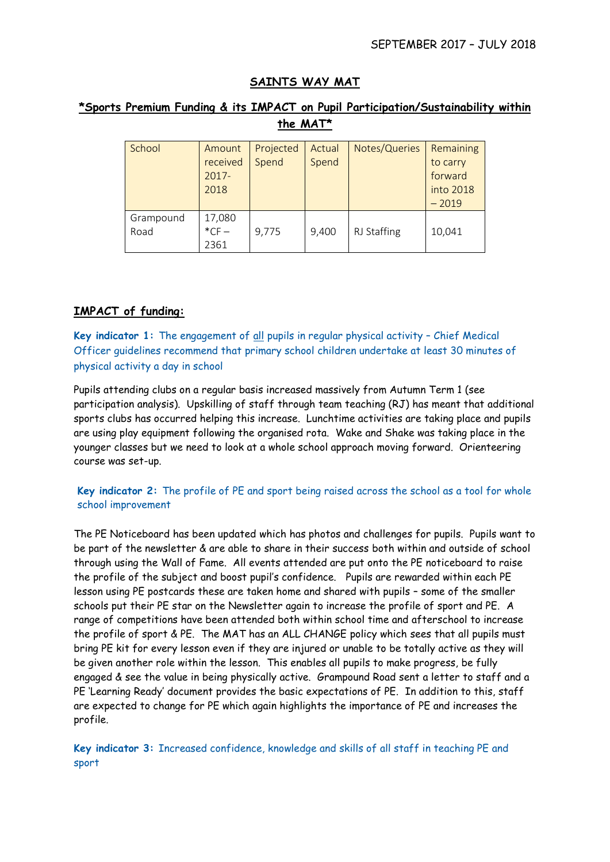# **SAINTS WAY MAT**

# **\*Sports Premium Funding & its IMPACT on Pupil Participation/Sustainability within the MAT\***

| School    | Amount   | Projected | Actual | Notes/Queries | Remaining |
|-----------|----------|-----------|--------|---------------|-----------|
|           | received | Spend     | Spend  |               | to carry  |
|           | $2017 -$ |           |        |               | forward   |
|           | 2018     |           |        |               | into 2018 |
|           |          |           |        |               | $-2019$   |
| Grampound | 17,080   |           |        |               |           |
| Road      | $*$ CF-  | 9,775     | 9,400  | RJ Staffing   | 10,041    |
|           | 2361     |           |        |               |           |

## **IMPACT of funding:**

**Key indicator 1:** The engagement of all pupils in regular physical activity – Chief Medical Officer guidelines recommend that primary school children undertake at least 30 minutes of physical activity a day in school

Pupils attending clubs on a regular basis increased massively from Autumn Term 1 (see participation analysis). Upskilling of staff through team teaching (RJ) has meant that additional sports clubs has occurred helping this increase. Lunchtime activities are taking place and pupils are using play equipment following the organised rota. Wake and Shake was taking place in the younger classes but we need to look at a whole school approach moving forward. Orienteering course was set-up.

### **Key indicator 2:** The profile of PE and sport being raised across the school as a tool for whole school improvement

The PE Noticeboard has been updated which has photos and challenges for pupils. Pupils want to be part of the newsletter & are able to share in their success both within and outside of school through using the Wall of Fame. All events attended are put onto the PE noticeboard to raise the profile of the subject and boost pupil's confidence. Pupils are rewarded within each PE lesson using PE postcards these are taken home and shared with pupils – some of the smaller schools put their PE star on the Newsletter again to increase the profile of sport and PE. A range of competitions have been attended both within school time and afterschool to increase the profile of sport & PE. The MAT has an ALL CHANGE policy which sees that all pupils must bring PE kit for every lesson even if they are injured or unable to be totally active as they will be given another role within the lesson. This enables all pupils to make progress, be fully engaged & see the value in being physically active. Grampound Road sent a letter to staff and a PE 'Learning Ready' document provides the basic expectations of PE. In addition to this, staff are expected to change for PE which again highlights the importance of PE and increases the profile.

**Key indicator 3:** Increased confidence, knowledge and skills of all staff in teaching PE and sport